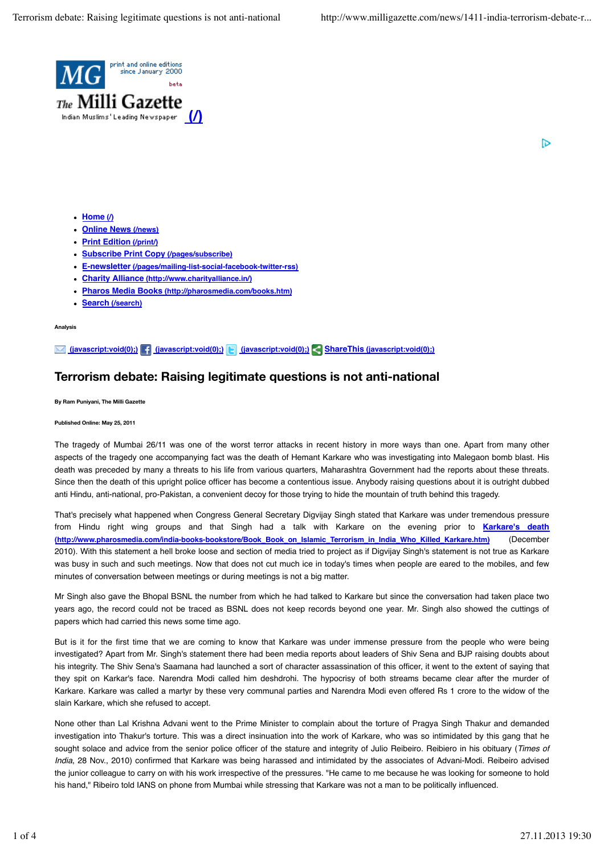

IР

- Home ( $\sqrt{ }$ )
- **Online News (/news)**
- **Print Edition (/print/)**
- **Subscribe Print Copy (/pages/subscribe)**
- **E-newsletter (/pages/mailing-list-social-facebook-twitter-rss)**
- **Charity Alliance (http://www.charityalliance.in/)**
- **Pharos Media Books (http://pharosmedia.com/books.htm)**
- **Search (/search)**

**Analysis**

## **(javascript:void(0);) (javascript:void(0);) (javascript:void(0);) ShareThis (javascript:void(0);)**

## **Terrorism debate: Raising legitimate questions is not anti-national**

**By Ram Puniyani, The Milli Gazette**

**Published Online: May 25, 2011**

The tragedy of Mumbai 26/11 was one of the worst terror attacks in recent history in more ways than one. Apart from many other aspects of the tragedy one accompanying fact was the death of Hemant Karkare who was investigating into Malegaon bomb blast. His death was preceded by many a threats to his life from various quarters, Maharashtra Government had the reports about these threats. Since then the death of this upright police officer has become a contentious issue. Anybody raising questions about it is outright dubbed anti Hindu, anti-national, pro-Pakistan, a convenient decoy for those trying to hide the mountain of truth behind this tragedy.

That's precisely what happened when Congress General Secretary Digvijay Singh stated that Karkare was under tremendous pressure from Hindu right wing groups and that Singh had a talk with Karkare on the evening prior to **Karkare's death (http://www.pharosmedia.com/india-books-bookstore/Book\_Book\_on\_Islamic\_Terrorism\_in\_India\_Who\_Killed\_Karkare.htm)** (December 2010). With this statement a hell broke loose and section of media tried to project as if Digvijay Singh's statement is not true as Karkare was busy in such and such meetings. Now that does not cut much ice in today's times when people are eared to the mobiles, and few minutes of conversation between meetings or during meetings is not a big matter.

Mr Singh also gave the Bhopal BSNL the number from which he had talked to Karkare but since the conversation had taken place two years ago, the record could not be traced as BSNL does not keep records beyond one year. Mr. Singh also showed the cuttings of papers which had carried this news some time ago.

But is it for the first time that we are coming to know that Karkare was under immense pressure from the people who were being investigated? Apart from Mr. Singh's statement there had been media reports about leaders of Shiv Sena and BJP raising doubts about his integrity. The Shiv Sena's Saamana had launched a sort of character assassination of this officer, it went to the extent of saying that they spit on Karkar's face. Narendra Modi called him deshdrohi. The hypocrisy of both streams became clear after the murder of Karkare. Karkare was called a martyr by these very communal parties and Narendra Modi even offered Rs 1 crore to the widow of the slain Karkare, which she refused to accept.

None other than Lal Krishna Advani went to the Prime Minister to complain about the torture of Pragya Singh Thakur and demanded investigation into Thakur's torture. This was a direct insinuation into the work of Karkare, who was so intimidated by this gang that he sought solace and advice from the senior police officer of the stature and integrity of Julio Reibeiro. Reibiero in his obituary (*Times of India*, 28 Nov., 2010) confirmed that Karkare was being harassed and intimidated by the associates of Advani-Modi. Reibeiro advised the junior colleague to carry on with his work irrespective of the pressures. "He came to me because he was looking for someone to hold his hand," Ribeiro told IANS on phone from Mumbai while stressing that Karkare was not a man to be politically influenced.